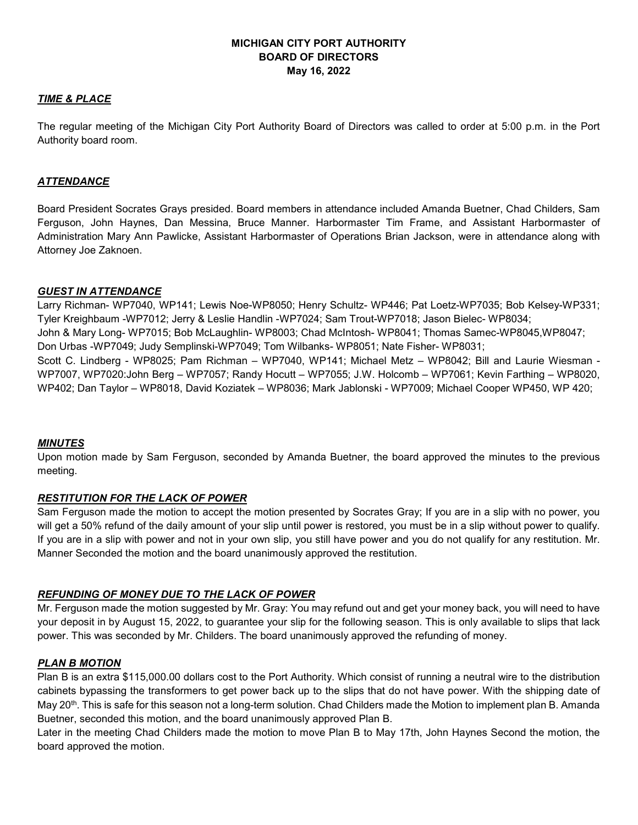# **MICHIGAN CITY PORT AUTHORITY BOARD OF DIRECTORS May 16, 2022**

# *TIME & PLACE*

The regular meeting of the Michigan City Port Authority Board of Directors was called to order at 5:00 p.m. in the Port Authority board room.

## *ATTENDANCE*

Board President Socrates Grays presided. Board members in attendance included Amanda Buetner, Chad Childers, Sam Ferguson, John Haynes, Dan Messina, Bruce Manner. Harbormaster Tim Frame, and Assistant Harbormaster of Administration Mary Ann Pawlicke, Assistant Harbormaster of Operations Brian Jackson, were in attendance along with Attorney Joe Zaknoen.

## *GUEST IN ATTENDANCE*

Larry Richman- WP7040, WP141; Lewis Noe-WP8050; Henry Schultz- WP446; Pat Loetz-WP7035; Bob Kelsey-WP331; Tyler Kreighbaum -WP7012; Jerry & Leslie Handlin -WP7024; Sam Trout-WP7018; Jason Bielec- WP8034; John & Mary Long- WP7015; Bob McLaughlin- WP8003; Chad McIntosh- WP8041; Thomas Samec-WP8045,WP8047; Don Urbas -WP7049; Judy Semplinski-WP7049; Tom Wilbanks- WP8051; Nate Fisher- WP8031; Scott C. Lindberg - WP8025; Pam Richman – WP7040, WP141; Michael Metz – WP8042; Bill and Laurie Wiesman - WP7007, WP7020:John Berg – WP7057; Randy Hocutt – WP7055; J.W. Holcomb – WP7061; Kevin Farthing – WP8020, WP402; Dan Taylor – WP8018, David Koziatek – WP8036; Mark Jablonski - WP7009; Michael Cooper WP450, WP 420;

### *MINUTES*

Upon motion made by Sam Ferguson, seconded by Amanda Buetner, the board approved the minutes to the previous meeting.

# *RESTITUTION FOR THE LACK OF POWER*

Sam Ferguson made the motion to accept the motion presented by Socrates Gray; If you are in a slip with no power, you will get a 50% refund of the daily amount of your slip until power is restored, you must be in a slip without power to qualify. If you are in a slip with power and not in your own slip, you still have power and you do not qualify for any restitution. Mr. Manner Seconded the motion and the board unanimously approved the restitution.

# *REFUNDING OF MONEY DUE TO THE LACK OF POWER*

Mr. Ferguson made the motion suggested by Mr. Gray: You may refund out and get your money back, you will need to have your deposit in by August 15, 2022, to guarantee your slip for the following season. This is only available to slips that lack power. This was seconded by Mr. Childers. The board unanimously approved the refunding of money.

### *PLAN B MOTION*

Plan B is an extra \$115,000.00 dollars cost to the Port Authority. Which consist of running a neutral wire to the distribution cabinets bypassing the transformers to get power back up to the slips that do not have power. With the shipping date of May 20<sup>th</sup>. This is safe for this season not a long-term solution. Chad Childers made the Motion to implement plan B. Amanda Buetner, seconded this motion, and the board unanimously approved Plan B.

Later in the meeting Chad Childers made the motion to move Plan B to May 17th, John Haynes Second the motion, the board approved the motion.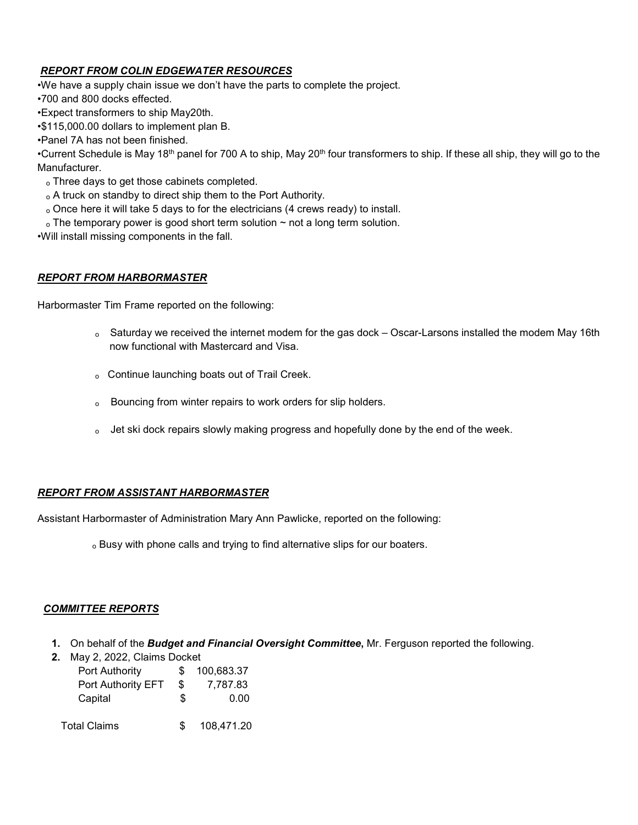# *REPORT FROM COLIN EDGEWATER RESOURCES*

•We have a supply chain issue we don't have the parts to complete the project.

•700 and 800 docks effected.

•Expect transformers to ship May20th.

•\$115,000.00 dollars to implement plan B.

•Panel 7A has not been finished.

•Current Schedule is May 18th panel for 700 A to ship, May 20th four transformers to ship. If these all ship, they will go to the Manufacturer.

- ₒ Three days to get those cabinets completed.
- ₒ A truck on standby to direct ship them to the Port Authority.
- ₒ Once here it will take 5 days to for the electricians (4 crews ready) to install.
- $\circ$  The temporary power is good short term solution  $\sim$  not a long term solution.

•Will install missing components in the fall.

## *REPORT FROM HARBORMASTER*

Harbormaster Tim Frame reported on the following:

- ₒ Saturday we received the internet modem for the gas dock Oscar-Larsons installed the modem May 16th now functional with Mastercard and Visa.
- ₒ Continue launching boats out of Trail Creek.
- ₒ Bouncing from winter repairs to work orders for slip holders.
- o Jet ski dock repairs slowly making progress and hopefully done by the end of the week.

# *REPORT FROM ASSISTANT HARBORMASTER*

Assistant Harbormaster of Administration Mary Ann Pawlicke, reported on the following:

ₒ Busy with phone calls and trying to find alternative slips for our boaters.

### *COMMITTEE REPORTS*

- **1.** On behalf of the *Budget and Financial Oversight Committee***,** Mr. Ferguson reported the following.
- **2.** May 2, 2022, Claims Docket

| Port Authority      |     | 100,683.37 |
|---------------------|-----|------------|
| Port Authority EFT  | \$  | 7,787.83   |
| Capital             | \$  | 0.00       |
| <b>Total Claims</b> | \$. | 108,471.20 |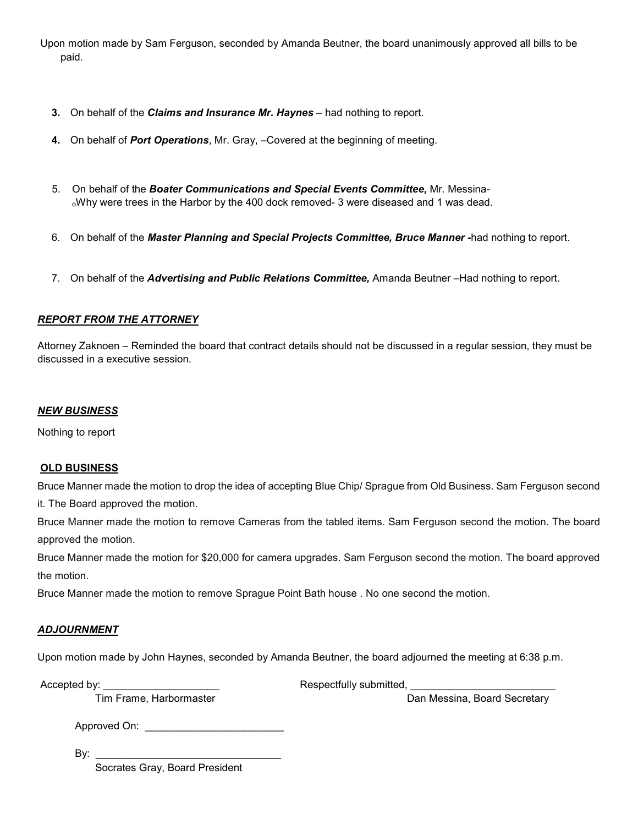Upon motion made by Sam Ferguson, seconded by Amanda Beutner, the board unanimously approved all bills to be paid.

- **3.** On behalf of the *Claims and Insurance Mr. Haynes* had nothing to report.
- **4.** On behalf of *Port Operations*, Mr. Gray, –Covered at the beginning of meeting.
- 5. On behalf of the *Boater Communications and Special Events Committee,* Mr. Messina- ₒWhy were trees in the Harbor by the 400 dock removed- 3 were diseased and 1 was dead.
- 6. On behalf of the *Master Planning and Special Projects Committee, Bruce Manner -*had nothing to report.
- 7. On behalf of the *Advertising and Public Relations Committee,* Amanda Beutner –Had nothing to report.

# *REPORT FROM THE ATTORNEY*

Attorney Zaknoen – Reminded the board that contract details should not be discussed in a regular session, they must be discussed in a executive session.

### *NEW BUSINESS*

Nothing to report

# **OLD BUSINESS**

Bruce Manner made the motion to drop the idea of accepting Blue Chip/ Sprague from Old Business. Sam Ferguson second it. The Board approved the motion.

Bruce Manner made the motion to remove Cameras from the tabled items. Sam Ferguson second the motion. The board approved the motion.

Bruce Manner made the motion for \$20,000 for camera upgrades. Sam Ferguson second the motion. The board approved the motion.

Bruce Manner made the motion to remove Sprague Point Bath house . No one second the motion.

# *ADJOURNMENT*

Upon motion made by John Haynes, seconded by Amanda Beutner, the board adjourned the meeting at 6:38 p.m.

Accepted by: \_\_\_\_\_\_\_\_\_\_\_\_\_\_\_\_\_\_\_\_ Respectfully submitted, \_\_\_\_\_\_\_\_\_\_\_\_\_\_\_\_\_\_\_\_\_\_\_\_\_

Tim Frame, Harbormaster **Dan Messina, Board Secretary** Dan Messina, Board Secretary

Approved On: \_\_\_\_\_\_\_\_\_\_\_\_\_\_\_\_\_\_\_\_\_\_\_\_

By: \_\_\_\_\_\_\_\_\_\_\_\_\_\_\_\_\_\_\_\_\_\_\_\_\_\_\_\_\_\_\_\_

Socrates Gray, Board President